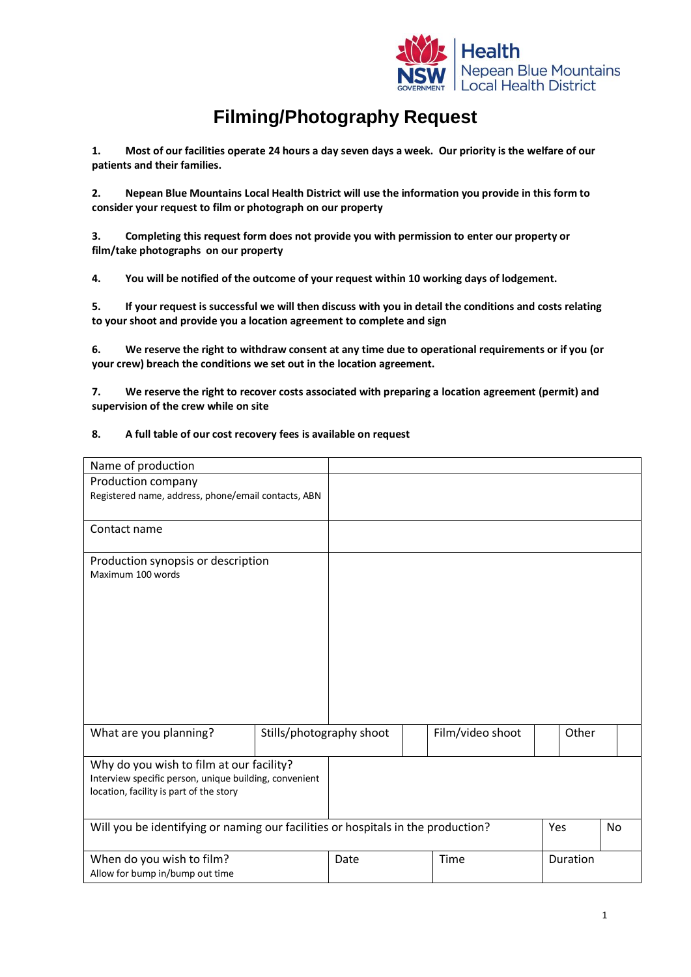

## **Filming/Photography Request**

**1. Most of our facilities operate 24 hours a day seven days a week. Our priority is the welfare of our patients and their families.**

**2. Nepean Blue Mountains Local Health District will use the information you provide in this form to consider your request to film or photograph on our property**

**3. Completing this request form does not provide you with permission to enter our property or film/take photographs on our property**

**4. You will be notified of the outcome of your request within 10 working days of lodgement.** 

**5. If your request is successful we will then discuss with you in detail the conditions and costs relating to your shoot and provide you a location agreement to complete and sign**

**6. We reserve the right to withdraw consent at any time due to operational requirements or if you (or your crew) breach the conditions we set out in the location agreement.**

**7. We reserve the right to recover costs associated with preparing a location agreement (permit) and supervision of the crew while on site**

## **8. A full table of our cost recovery fees is available on request**

| Name of production                                                                                                                            |                          |      |                  |          |  |
|-----------------------------------------------------------------------------------------------------------------------------------------------|--------------------------|------|------------------|----------|--|
| Production company<br>Registered name, address, phone/email contacts, ABN                                                                     |                          |      |                  |          |  |
| Contact name                                                                                                                                  |                          |      |                  |          |  |
| Production synopsis or description<br>Maximum 100 words                                                                                       |                          |      |                  |          |  |
| What are you planning?                                                                                                                        | Stills/photography shoot |      | Film/video shoot | Other    |  |
| Why do you wish to film at our facility?<br>Interview specific person, unique building, convenient<br>location, facility is part of the story |                          |      |                  |          |  |
| Will you be identifying or naming our facilities or hospitals in the production?                                                              |                          |      | Yes              | No       |  |
| When do you wish to film?<br>Allow for bump in/bump out time                                                                                  |                          | Date | Time             | Duration |  |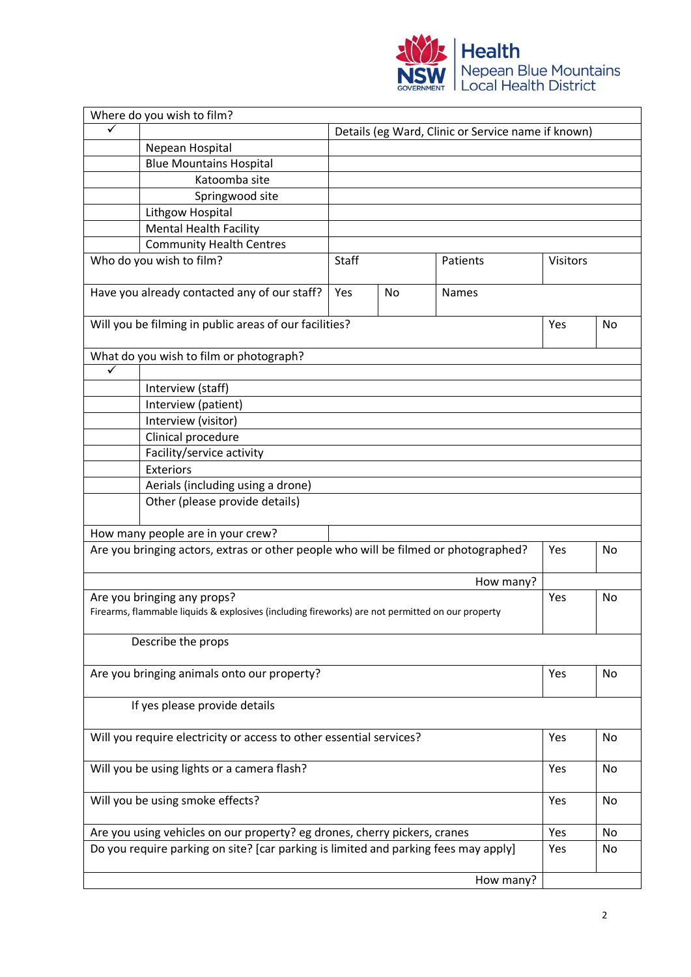

| Details (eg Ward, Clinic or Service name if known)<br>Nepean Hospital<br><b>Blue Mountains Hospital</b><br>Katoomba site<br>Springwood site<br>Lithgow Hospital<br><b>Mental Health Facility</b><br><b>Community Health Centres</b><br>Who do you wish to film?<br><b>Staff</b><br>Patients<br><b>Visitors</b><br>Have you already contacted any of our staff?<br>Yes<br>No<br>Names<br>Will you be filming in public areas of our facilities?<br>Yes<br>No<br>What do you wish to film or photograph?<br>✓<br>Interview (staff)<br>Interview (patient)<br>Interview (visitor)<br>Clinical procedure<br>Facility/service activity<br>Exteriors<br>Aerials (including using a drone)<br>Other (please provide details)<br>How many people are in your crew?<br>Are you bringing actors, extras or other people who will be filmed or photographed?<br>Yes<br>No<br>How many?<br>Are you bringing any props?<br>Yes<br>No<br>Firearms, flammable liquids & explosives (including fireworks) are not permitted on our property |  |  |  |  |  |  |  |  |
|-----------------------------------------------------------------------------------------------------------------------------------------------------------------------------------------------------------------------------------------------------------------------------------------------------------------------------------------------------------------------------------------------------------------------------------------------------------------------------------------------------------------------------------------------------------------------------------------------------------------------------------------------------------------------------------------------------------------------------------------------------------------------------------------------------------------------------------------------------------------------------------------------------------------------------------------------------------------------------------------------------------------------------|--|--|--|--|--|--|--|--|
|                                                                                                                                                                                                                                                                                                                                                                                                                                                                                                                                                                                                                                                                                                                                                                                                                                                                                                                                                                                                                             |  |  |  |  |  |  |  |  |
|                                                                                                                                                                                                                                                                                                                                                                                                                                                                                                                                                                                                                                                                                                                                                                                                                                                                                                                                                                                                                             |  |  |  |  |  |  |  |  |
|                                                                                                                                                                                                                                                                                                                                                                                                                                                                                                                                                                                                                                                                                                                                                                                                                                                                                                                                                                                                                             |  |  |  |  |  |  |  |  |
|                                                                                                                                                                                                                                                                                                                                                                                                                                                                                                                                                                                                                                                                                                                                                                                                                                                                                                                                                                                                                             |  |  |  |  |  |  |  |  |
|                                                                                                                                                                                                                                                                                                                                                                                                                                                                                                                                                                                                                                                                                                                                                                                                                                                                                                                                                                                                                             |  |  |  |  |  |  |  |  |
|                                                                                                                                                                                                                                                                                                                                                                                                                                                                                                                                                                                                                                                                                                                                                                                                                                                                                                                                                                                                                             |  |  |  |  |  |  |  |  |
|                                                                                                                                                                                                                                                                                                                                                                                                                                                                                                                                                                                                                                                                                                                                                                                                                                                                                                                                                                                                                             |  |  |  |  |  |  |  |  |
|                                                                                                                                                                                                                                                                                                                                                                                                                                                                                                                                                                                                                                                                                                                                                                                                                                                                                                                                                                                                                             |  |  |  |  |  |  |  |  |
|                                                                                                                                                                                                                                                                                                                                                                                                                                                                                                                                                                                                                                                                                                                                                                                                                                                                                                                                                                                                                             |  |  |  |  |  |  |  |  |
|                                                                                                                                                                                                                                                                                                                                                                                                                                                                                                                                                                                                                                                                                                                                                                                                                                                                                                                                                                                                                             |  |  |  |  |  |  |  |  |
|                                                                                                                                                                                                                                                                                                                                                                                                                                                                                                                                                                                                                                                                                                                                                                                                                                                                                                                                                                                                                             |  |  |  |  |  |  |  |  |
|                                                                                                                                                                                                                                                                                                                                                                                                                                                                                                                                                                                                                                                                                                                                                                                                                                                                                                                                                                                                                             |  |  |  |  |  |  |  |  |
|                                                                                                                                                                                                                                                                                                                                                                                                                                                                                                                                                                                                                                                                                                                                                                                                                                                                                                                                                                                                                             |  |  |  |  |  |  |  |  |
|                                                                                                                                                                                                                                                                                                                                                                                                                                                                                                                                                                                                                                                                                                                                                                                                                                                                                                                                                                                                                             |  |  |  |  |  |  |  |  |
|                                                                                                                                                                                                                                                                                                                                                                                                                                                                                                                                                                                                                                                                                                                                                                                                                                                                                                                                                                                                                             |  |  |  |  |  |  |  |  |
|                                                                                                                                                                                                                                                                                                                                                                                                                                                                                                                                                                                                                                                                                                                                                                                                                                                                                                                                                                                                                             |  |  |  |  |  |  |  |  |
|                                                                                                                                                                                                                                                                                                                                                                                                                                                                                                                                                                                                                                                                                                                                                                                                                                                                                                                                                                                                                             |  |  |  |  |  |  |  |  |
|                                                                                                                                                                                                                                                                                                                                                                                                                                                                                                                                                                                                                                                                                                                                                                                                                                                                                                                                                                                                                             |  |  |  |  |  |  |  |  |
|                                                                                                                                                                                                                                                                                                                                                                                                                                                                                                                                                                                                                                                                                                                                                                                                                                                                                                                                                                                                                             |  |  |  |  |  |  |  |  |
|                                                                                                                                                                                                                                                                                                                                                                                                                                                                                                                                                                                                                                                                                                                                                                                                                                                                                                                                                                                                                             |  |  |  |  |  |  |  |  |
|                                                                                                                                                                                                                                                                                                                                                                                                                                                                                                                                                                                                                                                                                                                                                                                                                                                                                                                                                                                                                             |  |  |  |  |  |  |  |  |
|                                                                                                                                                                                                                                                                                                                                                                                                                                                                                                                                                                                                                                                                                                                                                                                                                                                                                                                                                                                                                             |  |  |  |  |  |  |  |  |
|                                                                                                                                                                                                                                                                                                                                                                                                                                                                                                                                                                                                                                                                                                                                                                                                                                                                                                                                                                                                                             |  |  |  |  |  |  |  |  |
|                                                                                                                                                                                                                                                                                                                                                                                                                                                                                                                                                                                                                                                                                                                                                                                                                                                                                                                                                                                                                             |  |  |  |  |  |  |  |  |
|                                                                                                                                                                                                                                                                                                                                                                                                                                                                                                                                                                                                                                                                                                                                                                                                                                                                                                                                                                                                                             |  |  |  |  |  |  |  |  |
|                                                                                                                                                                                                                                                                                                                                                                                                                                                                                                                                                                                                                                                                                                                                                                                                                                                                                                                                                                                                                             |  |  |  |  |  |  |  |  |
|                                                                                                                                                                                                                                                                                                                                                                                                                                                                                                                                                                                                                                                                                                                                                                                                                                                                                                                                                                                                                             |  |  |  |  |  |  |  |  |
| Describe the props                                                                                                                                                                                                                                                                                                                                                                                                                                                                                                                                                                                                                                                                                                                                                                                                                                                                                                                                                                                                          |  |  |  |  |  |  |  |  |
|                                                                                                                                                                                                                                                                                                                                                                                                                                                                                                                                                                                                                                                                                                                                                                                                                                                                                                                                                                                                                             |  |  |  |  |  |  |  |  |
| Are you bringing animals onto our property?<br>Yes<br>No                                                                                                                                                                                                                                                                                                                                                                                                                                                                                                                                                                                                                                                                                                                                                                                                                                                                                                                                                                    |  |  |  |  |  |  |  |  |
| If yes please provide details                                                                                                                                                                                                                                                                                                                                                                                                                                                                                                                                                                                                                                                                                                                                                                                                                                                                                                                                                                                               |  |  |  |  |  |  |  |  |
| Will you require electricity or access to other essential services?<br>Yes<br>No                                                                                                                                                                                                                                                                                                                                                                                                                                                                                                                                                                                                                                                                                                                                                                                                                                                                                                                                            |  |  |  |  |  |  |  |  |
|                                                                                                                                                                                                                                                                                                                                                                                                                                                                                                                                                                                                                                                                                                                                                                                                                                                                                                                                                                                                                             |  |  |  |  |  |  |  |  |
| Will you be using lights or a camera flash?<br>Yes<br>No                                                                                                                                                                                                                                                                                                                                                                                                                                                                                                                                                                                                                                                                                                                                                                                                                                                                                                                                                                    |  |  |  |  |  |  |  |  |
| Will you be using smoke effects?<br>Yes<br>No                                                                                                                                                                                                                                                                                                                                                                                                                                                                                                                                                                                                                                                                                                                                                                                                                                                                                                                                                                               |  |  |  |  |  |  |  |  |
| Yes<br>Are you using vehicles on our property? eg drones, cherry pickers, cranes<br>No                                                                                                                                                                                                                                                                                                                                                                                                                                                                                                                                                                                                                                                                                                                                                                                                                                                                                                                                      |  |  |  |  |  |  |  |  |
| Do you require parking on site? [car parking is limited and parking fees may apply]<br>Yes<br>No                                                                                                                                                                                                                                                                                                                                                                                                                                                                                                                                                                                                                                                                                                                                                                                                                                                                                                                            |  |  |  |  |  |  |  |  |
| How many?                                                                                                                                                                                                                                                                                                                                                                                                                                                                                                                                                                                                                                                                                                                                                                                                                                                                                                                                                                                                                   |  |  |  |  |  |  |  |  |